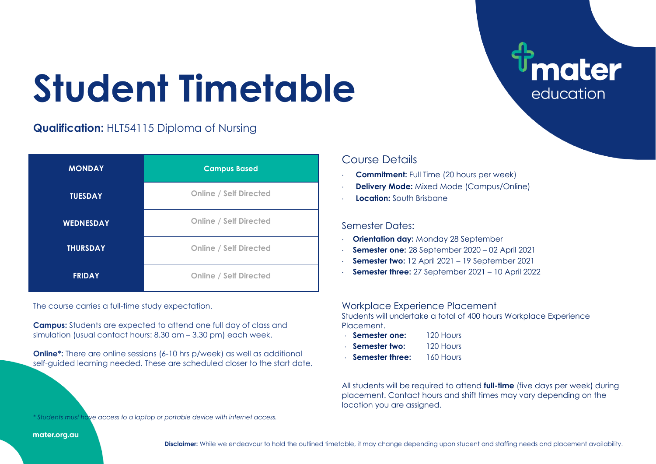# **Student Timetable**

## **Qualification:** HLT54115 Diploma of Nursing

| <b>MONDAY</b>    | <b>Campus Based</b>           |
|------------------|-------------------------------|
| <b>TUESDAY</b>   | <b>Online / Self Directed</b> |
| <b>WEDNESDAY</b> | <b>Online / Self Directed</b> |
| <b>THURSDAY</b>  | <b>Online / Self Directed</b> |
| <b>FRIDAY</b>    | <b>Online / Self Directed</b> |

The course carries a full-time study expectation.

**Campus:** Students are expected to attend one full day of class and simulation (usual contact hours: 8.30 am – 3.30 pm) each week.

**Online<sup>\*</sup>:** There are online sessions (6-10 hrs p/week) as well as additional self-guided learning needed. These are scheduled closer to the start date.

### Course Details

- **Commitment:** Full Time (20 hours per week)
- **Delivery Mode:** Mixed Mode (Campus/Online)
- **Location:** South Brisbane

#### Semester Dates:

- **Orientation day:** Monday 28 September
- **Semester one:** 28 September 2020 02 April 2021
- **Semester two:** 12 April 2021 19 September 2021
- **Semester three:** 27 September 2021 10 April 2022

#### Workplace Experience Placement

Students will undertake a total of 400 hours Workplace Experience **Placement** 

ater

education

- **Semester one:** 120 Hours
- **Semester two:** 120 Hours
- **Semester three:** 160 Hours

All students will be required to attend **full-time** (five days per week) during placement. Contact hours and shift times may vary depending on the location you are assigned.

*\* Students must have access to a laptop or portable device with internet access.*

mater.org.au